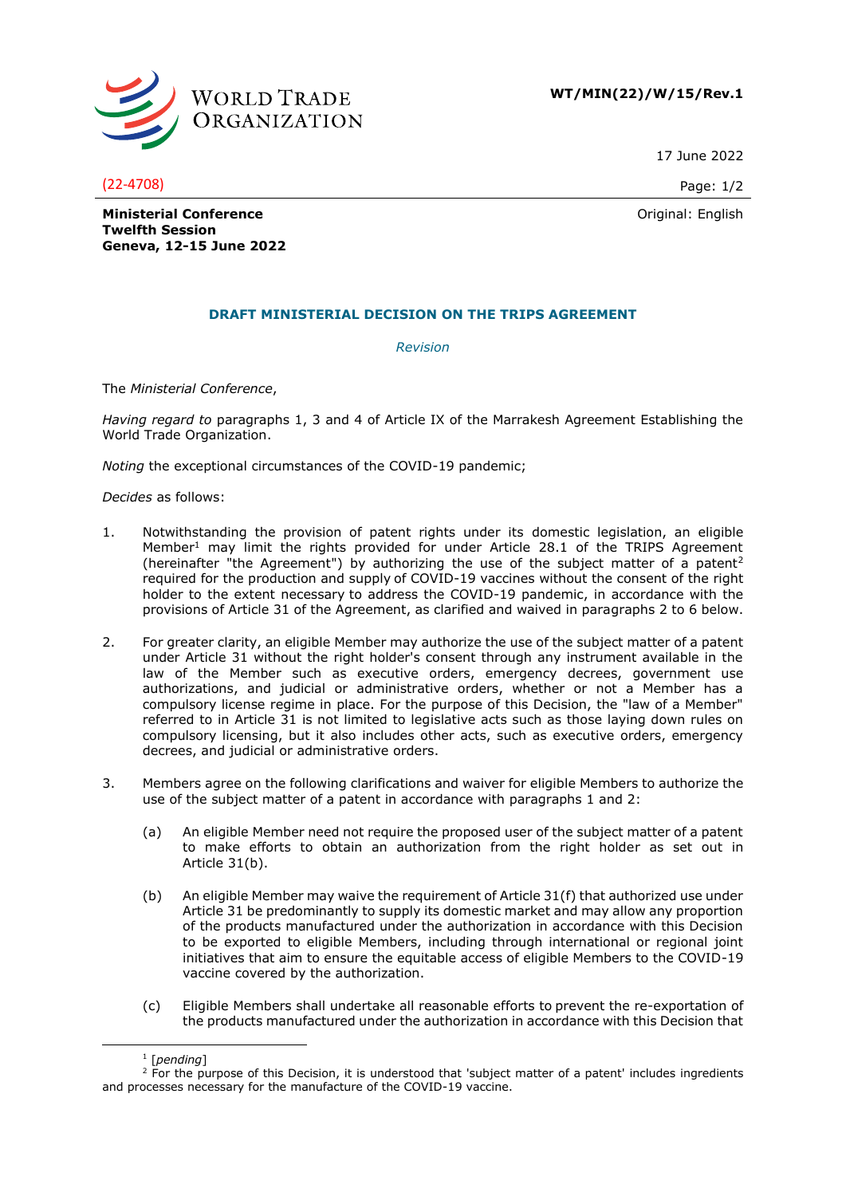

**WT/MIN(22)/W/15/Rev.1**

17 June 2022

(22-4708) Page: 1/2

Original: English

**Ministerial Conference Twelfth Session Geneva, 12-15 June 2022**

## **DRAFT MINISTERIAL DECISION ON THE TRIPS AGREEMENT**

*Revision*

The *Ministerial Conference*,

*Having regard to* paragraphs 1, 3 and 4 of Article IX of the Marrakesh Agreement Establishing the World Trade Organization.

*Noting* the exceptional circumstances of the COVID-19 pandemic;

*Decides* as follows:

- 1. Notwithstanding the provision of patent rights under its domestic legislation, an eligible Member<sup>1</sup> may limit the rights provided for under Article 28.1 of the TRIPS Agreement (hereinafter "the Agreement") by authorizing the use of the subject matter of a patent<sup>2</sup> required for the production and supply of COVID-19 vaccines without the consent of the right holder to the extent necessary to address the COVID-19 pandemic, in accordance with the provisions of Article 31 of the Agreement, as clarified and waived in paragraphs 2 to 6 below.
- 2. For greater clarity, an eligible Member may authorize the use of the subject matter of a patent under Article 31 without the right holder's consent through any instrument available in the law of the Member such as executive orders, emergency decrees, government use authorizations, and judicial or administrative orders, whether or not a Member has a compulsory license regime in place. For the purpose of this Decision, the "law of a Member" referred to in Article 31 is not limited to legislative acts such as those laying down rules on compulsory licensing, but it also includes other acts, such as executive orders, emergency decrees, and judicial or administrative orders.
- 3. Members agree on the following clarifications and waiver for eligible Members to authorize the use of the subject matter of a patent in accordance with paragraphs 1 and 2:
	- (a) An eligible Member need not require the proposed user of the subject matter of a patent to make efforts to obtain an authorization from the right holder as set out in Article 31(b).
	- (b) An eligible Member may waive the requirement of Article 31(f) that authorized use under Article 31 be predominantly to supply its domestic market and may allow any proportion of the products manufactured under the authorization in accordance with this Decision to be exported to eligible Members, including through international or regional joint initiatives that aim to ensure the equitable access of eligible Members to the COVID-19 vaccine covered by the authorization.
	- (c) Eligible Members shall undertake all reasonable efforts to prevent the re-exportation of the products manufactured under the authorization in accordance with this Decision that

<sup>1</sup> [*pending*]

<sup>&</sup>lt;sup>2</sup> For the purpose of this Decision, it is understood that 'subject matter of a patent' includes ingredients and processes necessary for the manufacture of the COVID-19 vaccine.